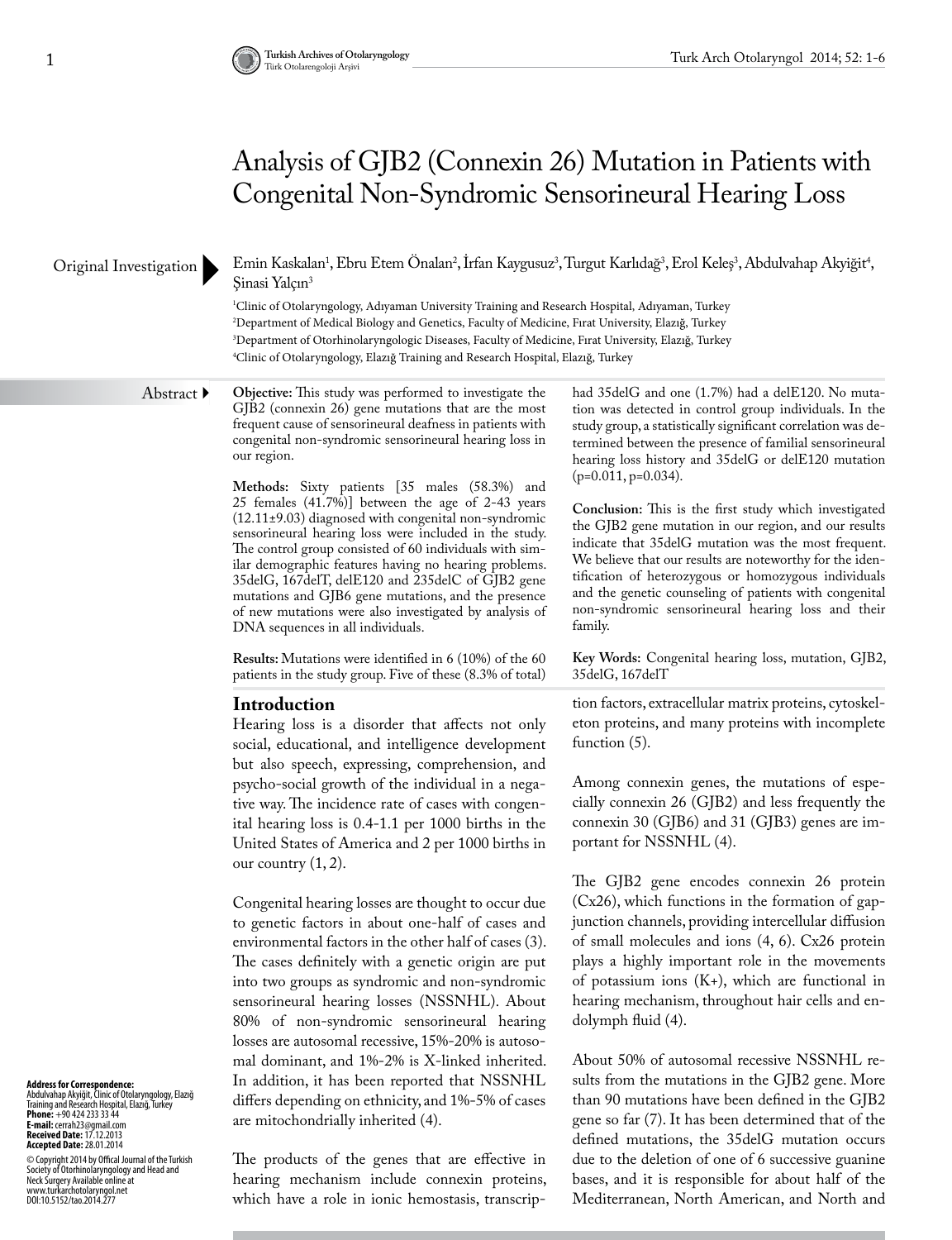# Analysis of GJB2 (Connexin 26) Mutation in Patients with Congenital Non-Syndromic Sensorineural Hearing Loss

## Original Investigation

Emin Kaskalan<sup>1</sup>, Ebru Etem Onalan<sup>2</sup>, Irfan Kaygusuz<sup>3</sup>, Turgut Karlıdağ<sup>3</sup>, Erol Keleş<sup>3</sup>, Abdulvahap Akyiğit<sup>4</sup>, Şinasi Yalçın3

 Clinic of Otolaryngology, Adıyaman University Training and Research Hospital, Adıyaman, Turkey Department of Medical Biology and Genetics, Faculty of Medicine, Fırat University, Elazığ, Turkey Department of Otorhinolaryngologic Diseases, Faculty of Medicine, Fırat University, Elazığ, Turkey Clinic of Otolaryngology, Elazığ Training and Research Hospital, Elazığ, Turkey

# Abstract  $\blacktriangleright$

**Objective:** This study was performed to investigate the GJB2 (connexin 26) gene mutations that are the most frequent cause of sensorineural deafness in patients with congenital non-syndromic sensorineural hearing loss in our region.

**Methods:** Sixty patients [35 males (58.3%) and 25 females (41.7%)] between the age of 2-43 years (12.11±9.03) diagnosed with congenital non-syndromic sensorineural hearing loss were included in the study. The control group consisted of 60 individuals with similar demographic features having no hearing problems. 35delG, 167delT, delE120 and 235delC of GJB2 gene mutations and GJB6 gene mutations, and the presence of new mutations were also investigated by analysis of DNA sequences in all individuals.

**Results:** Mutations were identified in 6 (10%) of the 60 patients in the study group. Five of these (8.3% of total)

#### **Introduction**

Hearing loss is a disorder that affects not only social, educational, and intelligence development but also speech, expressing, comprehension, and psycho-social growth of the individual in a negative way. The incidence rate of cases with congenital hearing loss is 0.4-1.1 per 1000 births in the United States of America and 2 per 1000 births in our country  $(1, 2)$ .

Congenital hearing losses are thought to occur due to genetic factors in about one-half of cases and environmental factors in the other half of cases (3). The cases definitely with a genetic origin are put into two groups as syndromic and non-syndromic sensorineural hearing losses (NSSNHL). About 80% of non-syndromic sensorineural hearing losses are autosomal recessive, 15%-20% is autosomal dominant, and 1%-2% is X-linked inherited. In addition, it has been reported that NSSNHL differs depending on ethnicity, and 1%-5% of cases are mitochondrially inherited (4).

had 35delG and one (1.7%) had a delE120. No mutation was detected in control group individuals. In the study group, a statistically significant correlation was determined between the presence of familial sensorineural hearing loss history and 35delG or delE120 mutation (p=0.011, p=0.034).

**Conclusion:** This is the first study which investigated the GJB2 gene mutation in our region, and our results indicate that 35delG mutation was the most frequent. We believe that our results are noteworthy for the identification of heterozygous or homozygous individuals and the genetic counseling of patients with congenital non-syndromic sensorineural hearing loss and their family.

**Key Words:** Congenital hearing loss, mutation, GJB2, 35delG, 167delT

tion factors, extracellular matrix proteins, cytoskeleton proteins, and many proteins with incomplete function (5).

Among connexin genes, the mutations of especially connexin 26 (GJB2) and less frequently the connexin 30 (GJB6) and 31 (GJB3) genes are important for NSSNHL (4).

The GJB2 gene encodes connexin 26 protein (Cx26), which functions in the formation of gapjunction channels, providing intercellular diffusion of small molecules and ions (4, 6). Cx26 protein plays a highly important role in the movements of potassium ions  $(K+)$ , which are functional in hearing mechanism, throughout hair cells and endolymph fluid (4).

About 50% of autosomal recessive NSSNHL results from the mutations in the GJB2 gene. More than 90 mutations have been defined in the GJB2 gene so far (7). It has been determined that of the defined mutations, the 35delG mutation occurs due to the deletion of one of 6 successive guanine bases, and it is responsible for about half of the Mediterranean, North American, and North and

**Address for Correspondence:**  Abdulvahap Akyiğit, Clinic of Otolaryngology, Elazığ Training and Research Hospital, Elazığ, Turkey **Phone:** +90 424 233 33 44 **E-mail:** cerrah23@gmail.com **Received Date:** 17.12.2013 **Accepted Date:** 28.01.2014

© Copyright 2014 by Offical Journal of the Turkish<br>Neckety of Otorhinolaryngology and Head and<br>Neck Surgery Available online at<br>www.turkarchotolaryngol.net<br>DOI:10.5152/tao.2014.277

The products of the genes that are effective in hearing mechanism include connexin proteins, which have a role in ionic hemostasis, transcrip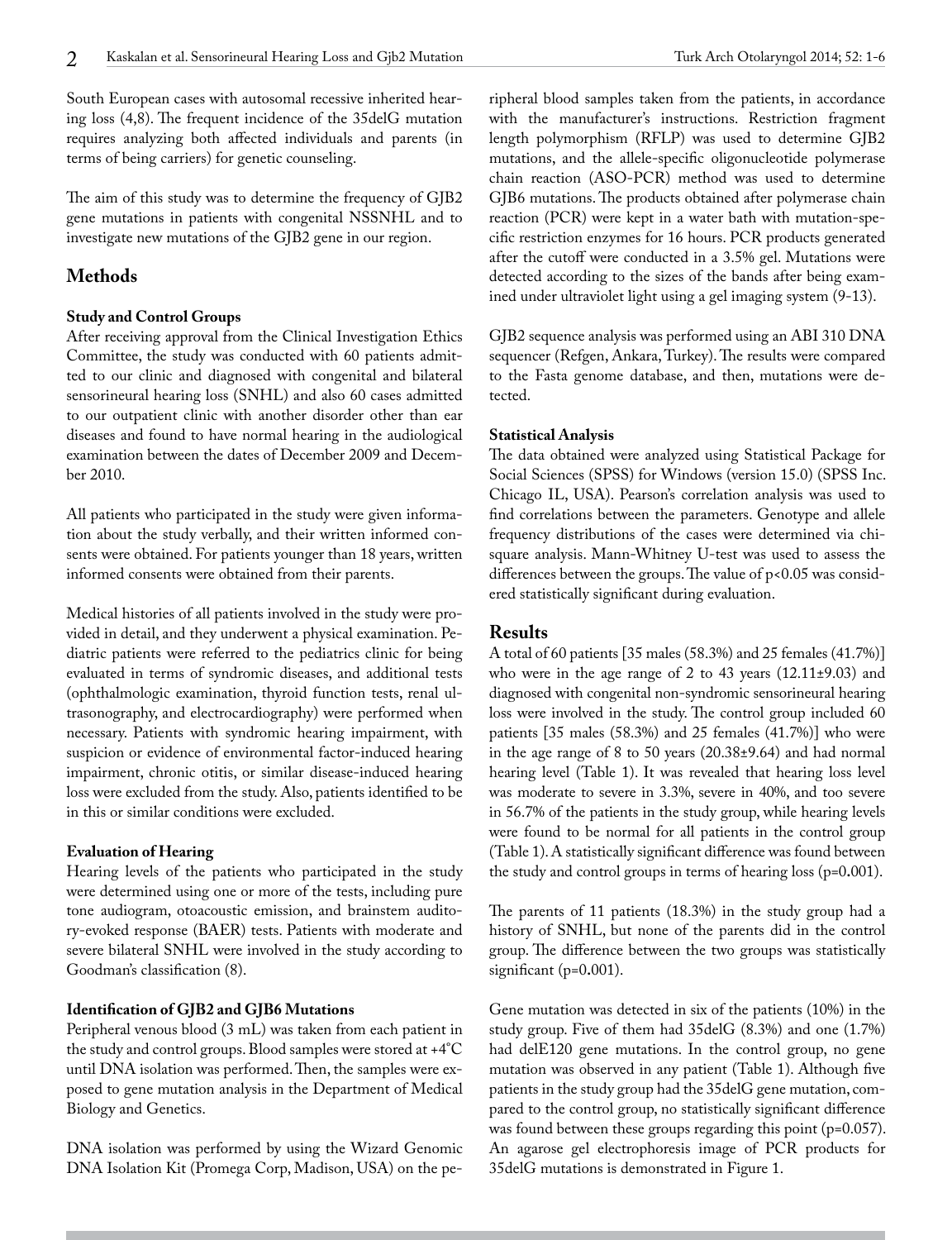South European cases with autosomal recessive inherited hearing loss (4,8). The frequent incidence of the 35delG mutation requires analyzing both affected individuals and parents (in terms of being carriers) for genetic counseling.

The aim of this study was to determine the frequency of GJB2 gene mutations in patients with congenital NSSNHL and to investigate new mutations of the GJB2 gene in our region.

# **Methods**

# **Study and Control Groups**

After receiving approval from the Clinical Investigation Ethics Committee, the study was conducted with 60 patients admitted to our clinic and diagnosed with congenital and bilateral sensorineural hearing loss (SNHL) and also 60 cases admitted to our outpatient clinic with another disorder other than ear diseases and found to have normal hearing in the audiological examination between the dates of December 2009 and December 2010.

All patients who participated in the study were given information about the study verbally, and their written informed consents were obtained. For patients younger than 18 years, written informed consents were obtained from their parents.

Medical histories of all patients involved in the study were provided in detail, and they underwent a physical examination. Pediatric patients were referred to the pediatrics clinic for being evaluated in terms of syndromic diseases, and additional tests (ophthalmologic examination, thyroid function tests, renal ultrasonography, and electrocardiography) were performed when necessary. Patients with syndromic hearing impairment, with suspicion or evidence of environmental factor-induced hearing impairment, chronic otitis, or similar disease-induced hearing loss were excluded from the study. Also, patients identified to be in this or similar conditions were excluded.

#### **Evaluation of Hearing**

Hearing levels of the patients who participated in the study were determined using one or more of the tests, including pure tone audiogram, otoacoustic emission, and brainstem auditory-evoked response (BAER) tests. Patients with moderate and severe bilateral SNHL were involved in the study according to Goodman's classification (8).

# **Identification of GJB2 and GJB6 Mutations**

Peripheral venous blood (3 mL) was taken from each patient in the study and control groups. Blood samples were stored at +4°C until DNA isolation was performed. Then, the samples were exposed to gene mutation analysis in the Department of Medical Biology and Genetics.

DNA isolation was performed by using the Wizard Genomic DNA Isolation Kit (Promega Corp, Madison, USA) on the pechain reaction (ASO-PCR) method was used to determine GJB6 mutations. The products obtained after polymerase chain reaction (PCR) were kept in a water bath with mutation-specific restriction enzymes for 16 hours. PCR products generated after the cutoff were conducted in a 3.5% gel. Mutations were detected according to the sizes of the bands after being examined under ultraviolet light using a gel imaging system (9-13).

GJB2 sequence analysis was performed using an ABI 310 DNA sequencer (Refgen, Ankara, Turkey). The results were compared to the Fasta genome database, and then, mutations were detected.

## **Statistical Analysis**

The data obtained were analyzed using Statistical Package for Social Sciences (SPSS) for Windows (version 15.0) (SPSS Inc. Chicago IL, USA). Pearson's correlation analysis was used to find correlations between the parameters. Genotype and allele frequency distributions of the cases were determined via chisquare analysis. Mann-Whitney U-test was used to assess the differences between the groups. The value of p<0.05 was considered statistically significant during evaluation.

# **Results**

A total of 60 patients [35 males (58.3%) and 25 females (41.7%)] who were in the age range of 2 to 43 years (12.11±9.03) and diagnosed with congenital non-syndromic sensorineural hearing loss were involved in the study. The control group included 60 patients [35 males (58.3%) and 25 females (41.7%)] who were in the age range of 8 to 50 years (20.38±9.64) and had normal hearing level (Table 1). It was revealed that hearing loss level was moderate to severe in 3.3%, severe in 40%, and too severe in 56.7% of the patients in the study group, while hearing levels were found to be normal for all patients in the control group (Table 1). A statistically significant difference was found between the study and control groups in terms of hearing loss (p=0**.**001).

The parents of 11 patients (18.3%) in the study group had a history of SNHL, but none of the parents did in the control group. The difference between the two groups was statistically significant (p=0**.**001).

Gene mutation was detected in six of the patients (10%) in the study group. Five of them had 35delG (8.3%) and one (1.7%) had delE120 gene mutations. In the control group, no gene mutation was observed in any patient (Table 1). Although five patients in the study group had the 35delG gene mutation, compared to the control group, no statistically significant difference was found between these groups regarding this point (p=0.057). An agarose gel electrophoresis image of PCR products for 35delG mutations is demonstrated in Figure 1.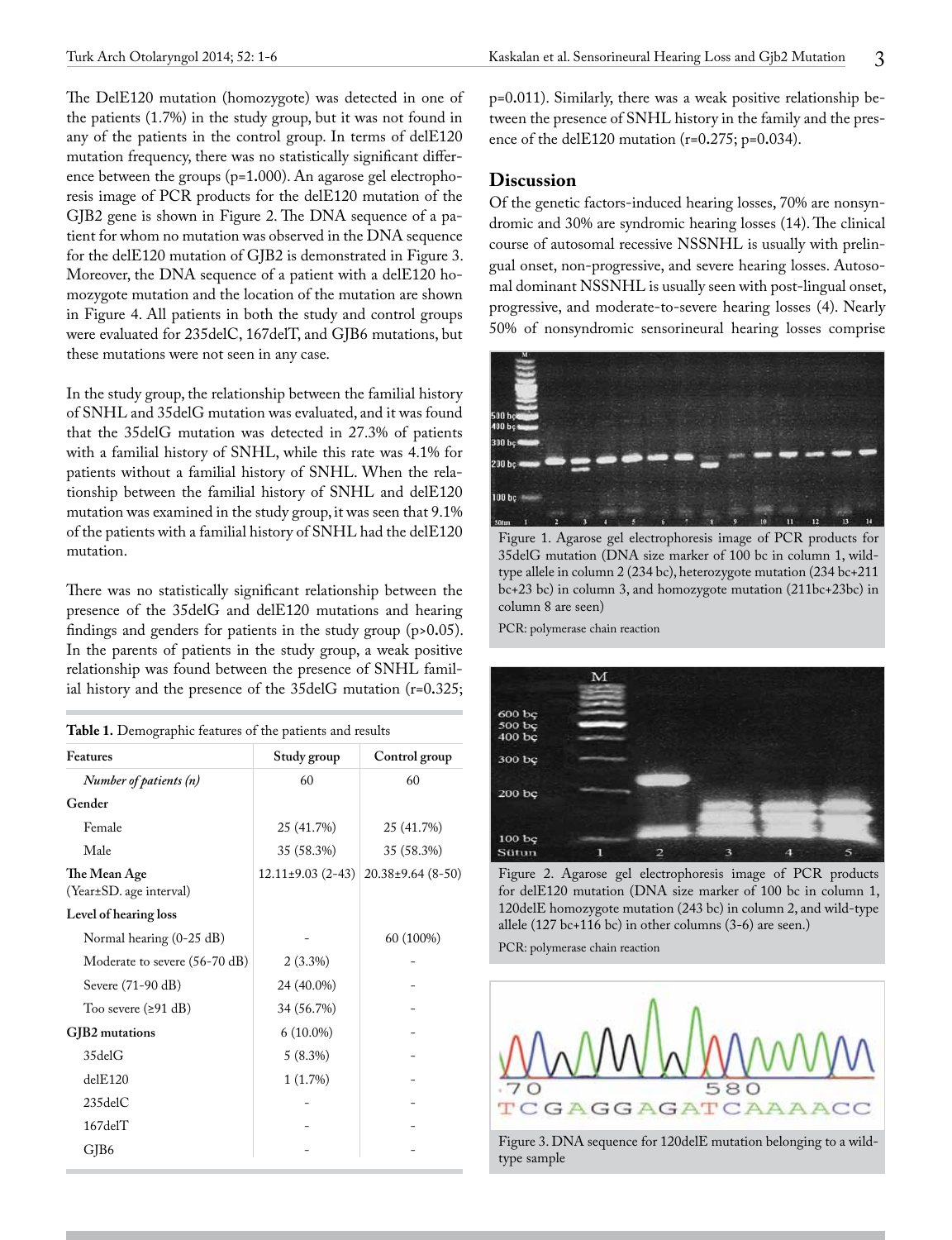The DelE120 mutation (homozygote) was detected in one of the patients (1.7%) in the study group, but it was not found in any of the patients in the control group. In terms of delE120 mutation frequency, there was no statistically significant difference between the groups (p=1**.**000). An agarose gel electrophoresis image of PCR products for the delE120 mutation of the GJB2 gene is shown in Figure 2. The DNA sequence of a patient for whom no mutation was observed in the DNA sequence for the delE120 mutation of GJB2 is demonstrated in Figure 3. Moreover, the DNA sequence of a patient with a delE120 homozygote mutation and the location of the mutation are shown in Figure 4. All patients in both the study and control groups were evaluated for 235delC, 167delT, and GJB6 mutations, but these mutations were not seen in any case.

In the study group, the relationship between the familial history of SNHL and 35delG mutation was evaluated, and it was found that the 35delG mutation was detected in 27.3% of patients with a familial history of SNHL, while this rate was 4.1% for patients without a familial history of SNHL. When the relationship between the familial history of SNHL and delE120 mutation was examined in the study group, it was seen that 9.1% of the patients with a familial history of SNHL had the delE120 mutation.

There was no statistically significant relationship between the presence of the 35delG and delE120 mutations and hearing findings and genders for patients in the study group (p>0**.**05). In the parents of patients in the study group, a weak positive relationship was found between the presence of SNHL familial history and the presence of the 35delG mutation (r=0**.**325;

| Table 1. Demographic features of the patients and results |  |  |
|-----------------------------------------------------------|--|--|
|-----------------------------------------------------------|--|--|

| Features                                | Study group          | Control group           |
|-----------------------------------------|----------------------|-------------------------|
| Number of patients (n)                  | 60                   | 60                      |
| Gender                                  |                      |                         |
| Female                                  | 25 (41.7%)           | 25 (41.7%)              |
| Male                                    | 35 (58.3%)           | 35 (58.3%)              |
| The Mean Age<br>(Year±SD. age interval) | $12.11\pm9.03(2-43)$ | $20.38 \pm 9.64$ (8-50) |
| Level of hearing loss                   |                      |                         |
| Normal hearing (0-25 dB)                |                      | 60 (100%)               |
| Moderate to severe (56-70 dB)           | $2(3.3\%)$           |                         |
| Severe (71-90 dB)                       | 24 (40.0%)           |                         |
| Too severe $(291 \text{ dB})$           | 34 (56.7%)           |                         |
| GJB2 mutations                          | $6(10.0\%)$          |                         |
| 35delG                                  | 5(8.3%)              |                         |
| $de$ IE120                              | 1(1.7%)              |                         |
| $235$ del $C$                           |                      |                         |
| $167$ del $T$                           |                      |                         |
| GJB6                                    |                      |                         |

p=0**.**011). Similarly, there was a weak positive relationship between the presence of SNHL history in the family and the presence of the delE120 mutation (r=0**.**275; p=0**.**034).

## **Discussion**

Of the genetic factors-induced hearing losses, 70% are nonsyndromic and 30% are syndromic hearing losses (14). The clinical course of autosomal recessive NSSNHL is usually with prelingual onset, non-progressive, and severe hearing losses. Autosomal dominant NSSNHL is usually seen with post-lingual onset, progressive, and moderate-to-severe hearing losses (4). Nearly 50% of nonsyndromic sensorineural hearing losses comprise



Figure 1. Agarose gel electrophoresis image of PCR products for 35delG mutation (DNA size marker of 100 bc in column 1, wildtype allele in column 2 (234 bc), heterozygote mutation (234 bc+211 bc+23 bc) in column 3, and homozygote mutation (211bc+23bc) in column 8 are seen)

PCR: polymerase chain reaction



Figure 2. Agarose gel electrophoresis image of PCR products for delE120 mutation (DNA size marker of 100 bc in column 1, 120delE homozygote mutation (243 bc) in column 2, and wild-type allele (127 bc+116 bc) in other columns (3-6) are seen.)

PCR: polymerase chain reaction



type sample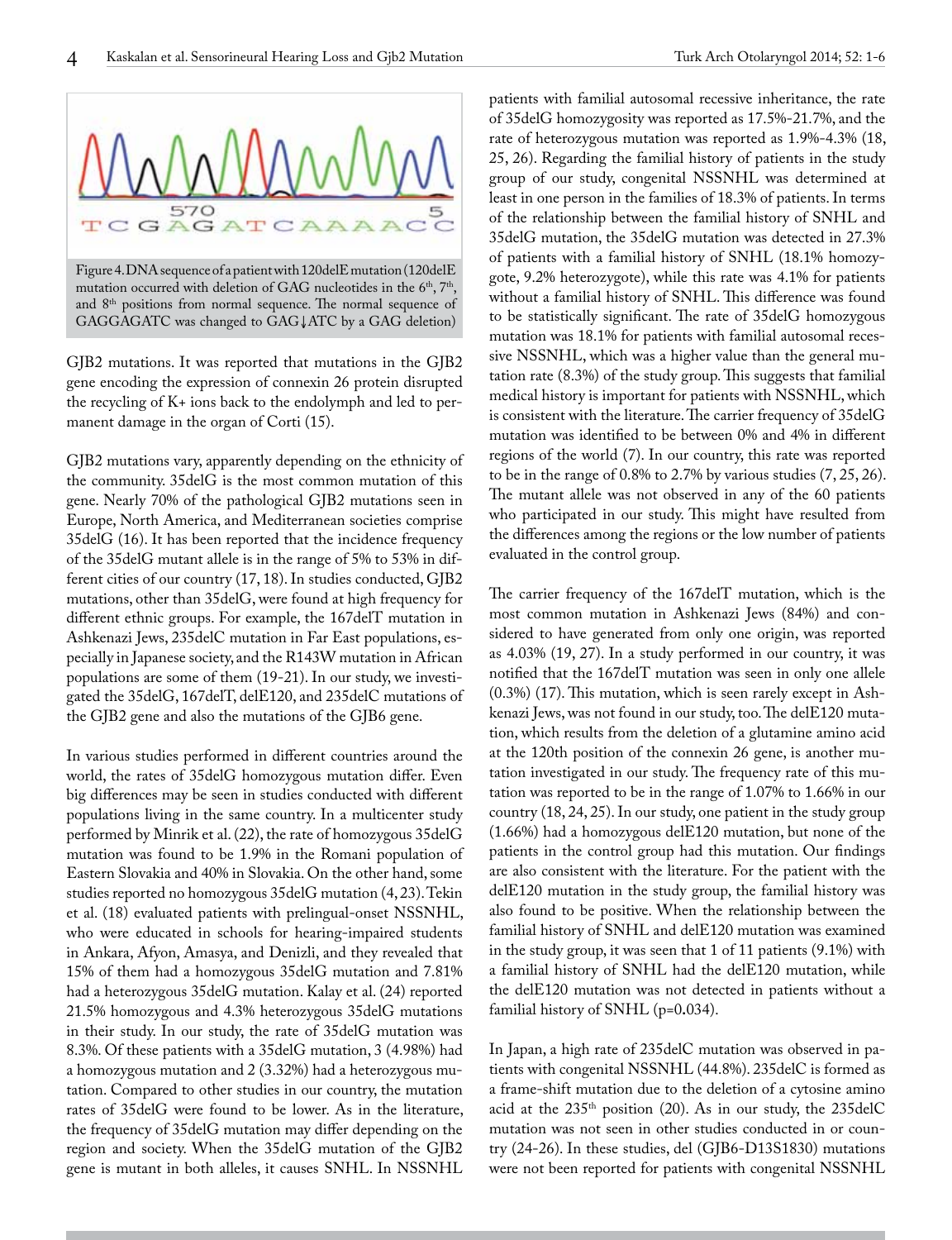



mutation occurred with deletion of GAG nucleotides in the  $6<sup>th</sup>$ ,  $7<sup>th</sup>$ , and 8<sup>th</sup> positions from normal sequence. The normal sequence of GAGGAGATC was changed to GAG↓ATC by a GAG deletion)

GJB2 mutations. It was reported that mutations in the GJB2 gene encoding the expression of connexin 26 protein disrupted the recycling of K+ ions back to the endolymph and led to permanent damage in the organ of Corti (15).

GJB2 mutations vary, apparently depending on the ethnicity of the community. 35delG is the most common mutation of this gene. Nearly 70% of the pathological GJB2 mutations seen in Europe, North America, and Mediterranean societies comprise 35delG (16). It has been reported that the incidence frequency of the 35delG mutant allele is in the range of 5% to 53% in different cities of our country (17, 18). In studies conducted, GJB2 mutations, other than 35delG, were found at high frequency for different ethnic groups. For example, the 167delT mutation in Ashkenazi Jews, 235delC mutation in Far East populations, especially in Japanese society, and the R143W mutation in African populations are some of them (19-21). In our study, we investigated the 35delG, 167delT, delE120, and 235delC mutations of the GJB2 gene and also the mutations of the GJB6 gene.

In various studies performed in different countries around the world, the rates of 35delG homozygous mutation differ. Even big differences may be seen in studies conducted with different populations living in the same country. In a multicenter study performed by Minrik et al. (22), the rate of homozygous 35delG mutation was found to be 1.9% in the Romani population of Eastern Slovakia and 40% in Slovakia. On the other hand, some studies reported no homozygous 35delG mutation (4, 23). Tekin et al. (18) evaluated patients with prelingual-onset NSSNHL, who were educated in schools for hearing-impaired students in Ankara, Afyon, Amasya, and Denizli, and they revealed that 15% of them had a homozygous 35delG mutation and 7.81% had a heterozygous 35delG mutation. Kalay et al. (24) reported 21.5% homozygous and 4.3% heterozygous 35delG mutations in their study. In our study, the rate of 35delG mutation was 8.3%. Of these patients with a 35delG mutation, 3 (4.98%) had a homozygous mutation and 2 (3.32%) had a heterozygous mutation. Compared to other studies in our country, the mutation rates of 35delG were found to be lower. As in the literature, the frequency of 35delG mutation may differ depending on the region and society. When the 35delG mutation of the GJB2 gene is mutant in both alleles, it causes SNHL. In NSSNHL patients with familial autosomal recessive inheritance, the rate of 35delG homozygosity was reported as 17.5%-21.7%, and the rate of heterozygous mutation was reported as 1.9%-4.3% (18, 25, 26). Regarding the familial history of patients in the study group of our study, congenital NSSNHL was determined at least in one person in the families of 18.3% of patients. In terms of the relationship between the familial history of SNHL and 35delG mutation, the 35delG mutation was detected in 27.3% of patients with a familial history of SNHL (18.1% homozygote, 9.2% heterozygote), while this rate was 4.1% for patients without a familial history of SNHL. This difference was found to be statistically significant. The rate of 35delG homozygous mutation was 18.1% for patients with familial autosomal recessive NSSNHL, which was a higher value than the general mutation rate (8.3%) of the study group. This suggests that familial medical history is important for patients with NSSNHL, which is consistent with the literature. The carrier frequency of 35delG mutation was identified to be between 0% and 4% in different regions of the world (7). In our country, this rate was reported to be in the range of 0.8% to 2.7% by various studies (7, 25, 26). The mutant allele was not observed in any of the 60 patients who participated in our study. This might have resulted from the differences among the regions or the low number of patients evaluated in the control group.

The carrier frequency of the 167delT mutation, which is the most common mutation in Ashkenazi Jews (84%) and considered to have generated from only one origin, was reported as 4.03% (19, 27). In a study performed in our country, it was notified that the 167delT mutation was seen in only one allele (0.3%) (17). This mutation, which is seen rarely except in Ashkenazi Jews, was not found in our study, too. The delE120 mutation, which results from the deletion of a glutamine amino acid at the 120th position of the connexin 26 gene, is another mutation investigated in our study. The frequency rate of this mutation was reported to be in the range of 1.07% to 1.66% in our country (18, 24, 25). In our study, one patient in the study group (1.66%) had a homozygous delE120 mutation, but none of the patients in the control group had this mutation. Our findings are also consistent with the literature. For the patient with the delE120 mutation in the study group, the familial history was also found to be positive. When the relationship between the familial history of SNHL and delE120 mutation was examined in the study group, it was seen that 1 of 11 patients (9.1%) with a familial history of SNHL had the delE120 mutation, while the delE120 mutation was not detected in patients without a familial history of SNHL (p=0**.**034).

In Japan, a high rate of 235delC mutation was observed in patients with congenital NSSNHL (44.8%). 235delC is formed as a frame-shift mutation due to the deletion of a cytosine amino acid at the 235th position (20). As in our study, the 235delC mutation was not seen in other studies conducted in or country (24-26). In these studies, del (GJB6-D13S1830) mutations were not been reported for patients with congenital NSSNHL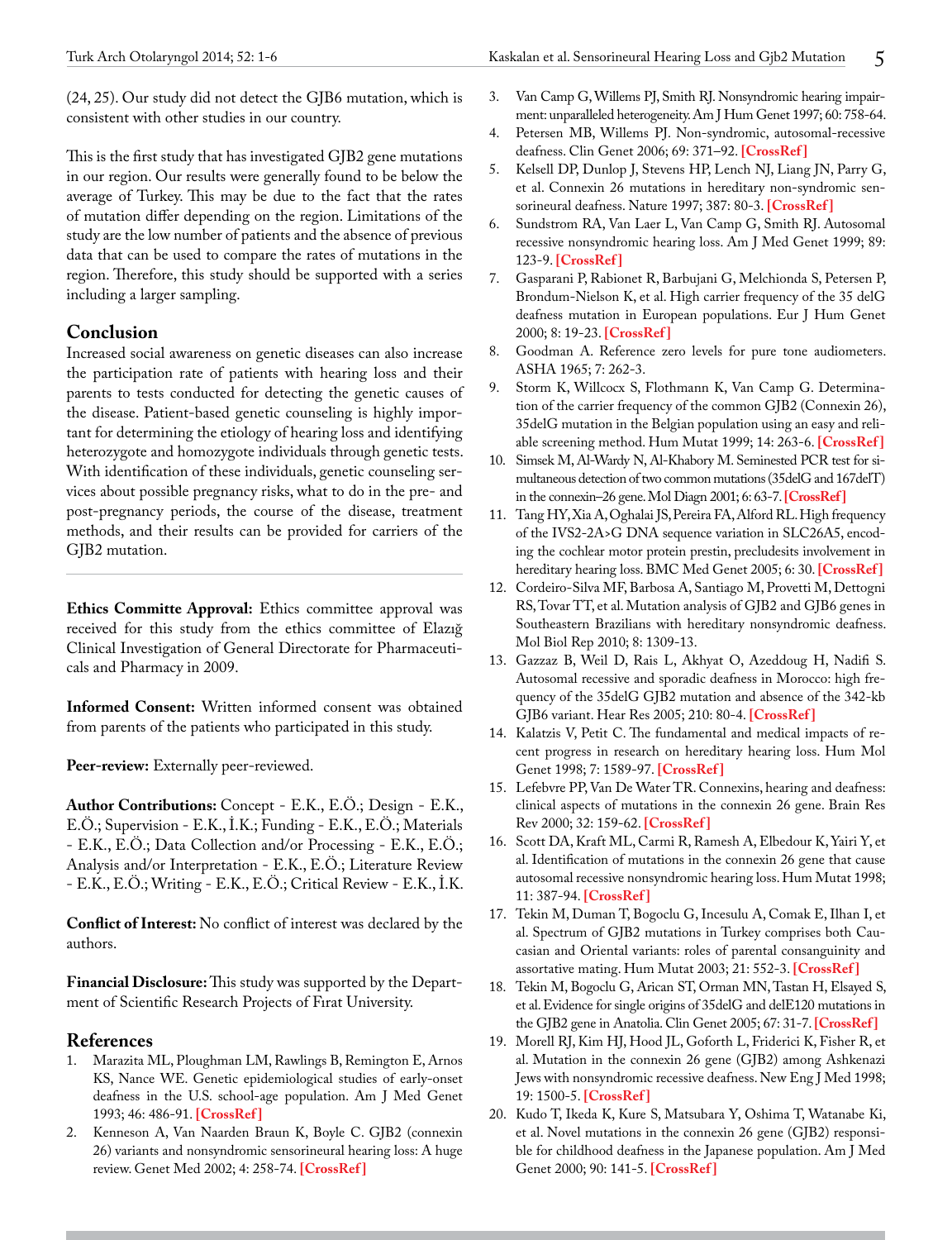(24, 25). Our study did not detect the GJB6 mutation, which is consistent with other studies in our country.

This is the first study that has investigated GJB2 gene mutations in our region. Our results were generally found to be below the average of Turkey. This may be due to the fact that the rates of mutation differ depending on the region. Limitations of the study are the low number of patients and the absence of previous data that can be used to compare the rates of mutations in the region. Therefore, this study should be supported with a series including a larger sampling.

# **Conclusion**

Increased social awareness on genetic diseases can also increase the participation rate of patients with hearing loss and their parents to tests conducted for detecting the genetic causes of the disease. Patient-based genetic counseling is highly important for determining the etiology of hearing loss and identifying heterozygote and homozygote individuals through genetic tests. With identification of these individuals, genetic counseling services about possible pregnancy risks, what to do in the pre- and post-pregnancy periods, the course of the disease, treatment methods, and their results can be provided for carriers of the GJB2 mutation.

**Ethics Committe Approval:** Ethics committee approval was received for this study from the ethics committee of Elazığ Clinical Investigation of General Directorate for Pharmaceuticals and Pharmacy in 2009.

**Informed Consent:** Written informed consent was obtained from parents of the patients who participated in this study.

Peer-review: Externally peer-reviewed.

**Author Contributions:** Concept - E.K., E.Ö.; Design - E.K., E.Ö.; Supervision - E.K., İ.K.; Funding - E.K., E.Ö.; Materials - E.K., E.Ö.; Data Collection and/or Processing - E.K., E.Ö.; Analysis and/or Interpretation - E.K., E.Ö.; Literature Review - E.K., E.Ö.; Writing - E.K., E.Ö.; Critical Review - E.K., İ.K.

**Conflict of Interest:** No conflict of interest was declared by the authors.

**Financial Disclosure:** This study was supported by the Department of Scientific Research Projects of Fırat University.

# **References**

- 1. Marazita ML, Ploughman LM, Rawlings B, Remington E, Arnos KS, Nance WE. Genetic epidemiological studies of early-onset deafness in the U.S. school-age population. Am J Med Genet 1993; 46: 486-91. **[\[CrossRef \]](http://dx.doi.org/10.1002/ajmg.1320460504)**
- 2. Kenneson A, Van Naarden Braun K, Boyle C. GJB2 (connexin 26) variants and nonsyndromic sensorineural hearing loss: A huge review. Genet Med 2002; 4: 258-74. **[\[CrossRef \]](http://dx.doi.org/10.1097/00125817-200207000-00004)**
- 3. Van Camp G, Willems PJ, Smith RJ. Nonsyndromic hearing impairment: unparalleled heterogeneity. Am J Hum Genet 1997; 60: 758-64.
- 4. Petersen MB, Willems PJ. Non-syndromic, autosomal-recessive deafness. Clin Genet 2006; 69: 371–92. **[[CrossRef](http://dx.doi.org/10.1111/j.1399-0004.2006.00613.x) ]**
- 5. Kelsell DP, Dunlop J, Stevens HP, Lench NJ, Liang JN, Parry G, et al. Connexin 26 mutations in hereditary non-syndromic sensorineural deafness. Nature 1997; 387: 80-3. **[\[CrossRef \]](http://dx.doi.org/10.1038/387080a0)**
- 6. Sundstrom RA, Van Laer L, Van Camp G, Smith RJ. Autosomal recessive nonsyndromic hearing loss. Am J Med Genet 1999; 89: 123-9. **[[CrossRef](http://dx.doi.org/10.1002/(SICI)1096-8628(19990924)89:3<123::AID-AJMG2>3.0.CO;2-P) ]**
- 7. Gasparani P, Rabionet R, Barbujani G, Melchionda S, Petersen P, Brondum-Nielson K, et al. High carrier frequency of the 35 delG deafness mutation in European populations. Eur J Hum Genet 2000; 8: 19-23. **[\[CrossRef \]](http://dx.doi.org/10.1038/sj.ejhg.5200406)**
- 8. Goodman A. Reference zero levels for pure tone audiometers. ASHA 1965; 7: 262-3.
- 9. Storm K, Willcocx S, Flothmann K, Van Camp G. Determination of the carrier frequency of the common GJB2 (Connexin 26), 35delG mutation in the Belgian population using an easy and reliable screening method. Hum Mutat 1999; 14: 263-6. **[\[CrossRef](http://dx.doi.org/10.1002/(SICI)1098-1004(1999)14:3<263::AID-HUMU10>3.0.CO;2-X) ]**
- 10. Simsek M, Al-Wardy N, Al-Khabory M. Seminested PCR test for simultaneous detection of two common mutations (35delG and 167delT) in the connexin–26 gene. Mol Diagn 2001; 6: 63-7. **[\[CrossRef\]](http://dx.doi.org/10.2165/00066982-200106010-00008)**
- 11. Tang HY, Xia A, Oghalai JS, Pereira FA, Alford RL. High frequency of the IVS2-2A>G DNA sequence variation in SLC26A5, encoding the cochlear motor protein prestin, precludesits involvement in hereditary hearing loss. BMC Med Genet 2005; 6: 30. **[[CrossRef](http://dx.doi.org/10.1186/1471-2156-6-30) ]**
- 12. Cordeiro-Silva MF, Barbosa A, Santiago M, Provetti M, Dettogni RS, Tovar TT, et al. Mutation analysis of GJB2 and GJB6 genes in Southeastern Brazilians with hereditary nonsyndromic deafness. Mol Biol Rep 2010; 8: 1309-13.
- 13. Gazzaz B, Weil D, Rais L, Akhyat O, Azeddoug H, Nadifi S. Autosomal recessive and sporadic deafness in Morocco: high frequency of the 35delG GJB2 mutation and absence of the 342-kb GJB6 variant. Hear Res 2005; 210: 80-4. **[[CrossRef](http://dx.doi.org/10.1016/j.heares.2005.08.001) ]**
- 14. Kalatzis V, Petit C. The fundamental and medical impacts of recent progress in research on hereditary hearing loss. Hum Mol Genet 1998; 7: 1589-97. **[\[CrossRef \]](http://dx.doi.org/10.1093/hmg/7.10.1589)**
- 15. Lefebvre PP, Van De Water TR. Connexins, hearing and deafness: clinical aspects of mutations in the connexin 26 gene. Brain Res Rev 2000; 32: 159-62. **[\[CrossRef \]](http://dx.doi.org/10.1016/S0165-0173(99)00075-2)**
- 16. Scott DA, Kraft ML, Carmi R, Ramesh A, Elbedour K, Yairi Y, et al. Identification of mutations in the connexin 26 gene that cause autosomal recessive nonsyndromic hearing loss. Hum Mutat 1998; 11: 387-94. **[[CrossRef]( http://dx.doi.org/10.1002/(SICI)1098-1004(1998)11:5<387::AID-HUMU6>3.3.CO;2-#) ]**
- 17. Tekin M, Duman T, Bogoclu G, Incesulu A, Comak E, Ilhan I, et al. Spectrum of GJB2 mutations in Turkey comprises both Caucasian and Oriental variants: roles of parental consanguinity and assortative mating. Hum Mutat 2003; 21: 552-3. **[[CrossRef](http://dx.doi.org/10.1002/humu.9137) ]**
- 18. Tekin M, Bogoclu G, Arican ST, Orman MN, Tastan H, Elsayed S, et al. Evidence for single origins of 35delG and delE120 mutations in the GJB2 gene in Anatolia. Clin Genet 2005; 67: 31-7. **[\[CrossRef](http://dx.doi.org/10.1111/j.1399-0004.2004.00334.x) ]**
- 19. Morell RJ, Kim HJ, Hood JL, Goforth L, Friderici K, Fisher R, et al. Mutation in the connexin 26 gene (GJB2) among Ashkenazi Jews with nonsyndromic recessive deafness. New Eng J Med 1998; 19: 1500-5. **[[CrossRef](http://dx.doi.org/10.1056/NEJM199811193392103) ]**
- 20. Kudo T, Ikeda K, Kure S, Matsubara Y, Oshima T, Watanabe Ki, et al. Novel mutations in the connexin 26 gene (GJB2) responsible for childhood deafness in the Japanese population. Am J Med Genet 2000; 90: 141-5. **[[CrossRef](http://dx.doi.org/10.1002/(SICI)1096-8628(20000117)90:2<141::AID-AJMG10>3.0.CO;2-G) ]**